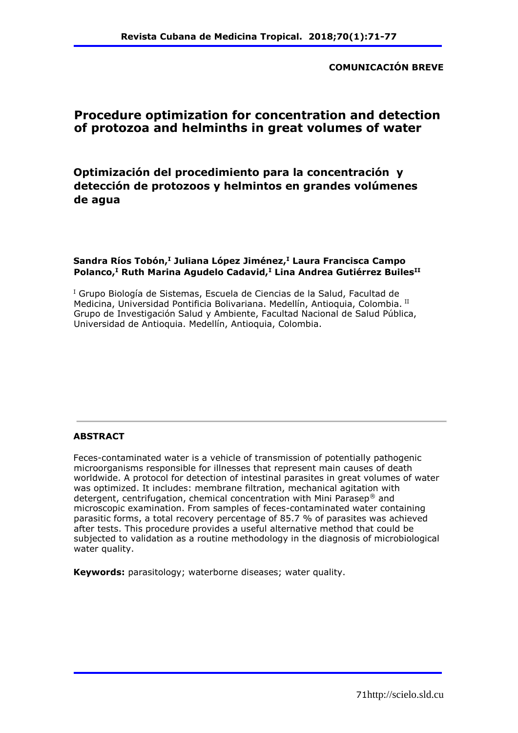**COMUNICACIÓN BREVE**

# **Procedure optimization for concentration and detection of protozoa and helminths in great volumes of water**

**Optimización del procedimiento para la concentración y detección de protozoos y helmintos en grandes volúmenes de agua** 

### **Sandra Ríos Tobón,<sup>I</sup> Juliana López Jiménez,<sup>I</sup> Laura Francisca Campo Polanco,<sup>I</sup> Ruth Marina Agudelo Cadavid,<sup>I</sup> Lina Andrea Gutiérrez BuilesII**

<sup>I</sup> Grupo Biología de Sistemas, Escuela de Ciencias de la Salud, Facultad de Medicina, Universidad Pontificia Bolivariana. Medellín, Antioquia, Colombia. II Grupo de Investigación Salud y Ambiente, Facultad Nacional de Salud Pública, Universidad de Antioquia. Medellín, Antioquia, Colombia.

### **ABSTRACT**

Feces-contaminated water is a vehicle of transmission of potentially pathogenic microorganisms responsible for illnesses that represent main causes of death worldwide. A protocol for detection of intestinal parasites in great volumes of water was optimized. It includes: membrane filtration, mechanical agitation with detergent, centrifugation, chemical concentration with Mini Parasep® and microscopic examination. From samples of feces-contaminated water containing parasitic forms, a total recovery percentage of 85.7 % of parasites was achieved after tests. This procedure provides a useful alternative method that could be subjected to validation as a routine methodology in the diagnosis of microbiological water quality.

**Keywords:** parasitology; waterborne diseases; water quality.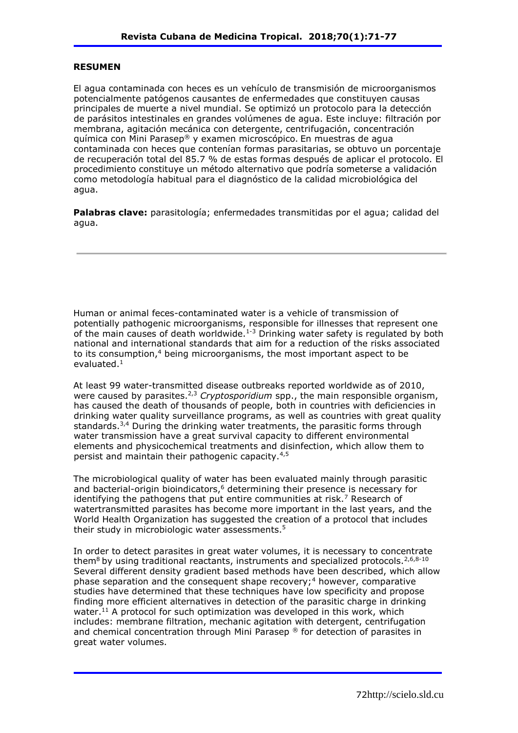#### **RESUMEN**

El agua contaminada con heces es un vehículo de transmisión de microorganismos potencialmente patógenos causantes de enfermedades que constituyen causas principales de muerte a nivel mundial. Se optimizó un protocolo para la detección de parásitos intestinales en grandes volúmenes de agua. Este incluye: filtración por membrana, agitación mecánica con detergente, centrifugación, concentración química con Mini Parasep® y examen microscópico. En muestras de agua contaminada con heces que contenían formas parasitarias, se obtuvo un porcentaje de recuperación total del 85.7 % de estas formas después de aplicar el protocolo. El procedimiento constituye un método alternativo que podría someterse a validación como metodología habitual para el diagnóstico de la calidad microbiológica del agua.

**Palabras clave:** parasitología; enfermedades transmitidas por el agua; calidad del agua.

Human or animal feces-contaminated water is a vehicle of transmission of potentially pathogenic microorganisms, responsible for illnesses that represent one of the main causes of death worldwide.<sup>1-3</sup> Drinking water safety is regulated by both national and international standards that aim for a reduction of the risks associated to its consumption,<sup>4</sup> being microorganisms, the most important aspect to be evaluated.<sup>1</sup>

At least 99 water-transmitted disease outbreaks reported worldwide as of 2010, were caused by parasites.2,3 *Cryptosporidium* spp., the main responsible organism, has caused the death of thousands of people, both in countries with deficiencies in drinking water quality surveillance programs, as well as countries with great quality standards. $3,4$  During the drinking water treatments, the parasitic forms through water transmission have a great survival capacity to different environmental elements and physicochemical treatments and disinfection, which allow them to persist and maintain their pathogenic capacity.4,5

The microbiological quality of water has been evaluated mainly through parasitic and bacterial-origin bioindicators, $6$  determining their presence is necessary for identifying the pathogens that put entire communities at risk.<sup>7</sup> Research of watertransmitted parasites has become more important in the last years, and the World Health Organization has suggested the creation of a protocol that includes their study in microbiologic water assessments.<sup>5</sup>

In order to detect parasites in great water volumes, it is necessary to concentrate them $8$  by using traditional reactants, instruments and specialized protocols.  $2,6,8-10$ Several different density gradient based methods have been described, which allow phase separation and the consequent shape recovery;<sup>4</sup> however, comparative studies have determined that these techniques have low specificity and propose finding more efficient alternatives in detection of the parasitic charge in drinking water.<sup>11</sup> A protocol for such optimization was developed in this work, which includes: membrane filtration, mechanic agitation with detergent, centrifugation and chemical concentration through Mini Parasep ® for detection of parasites in great water volumes.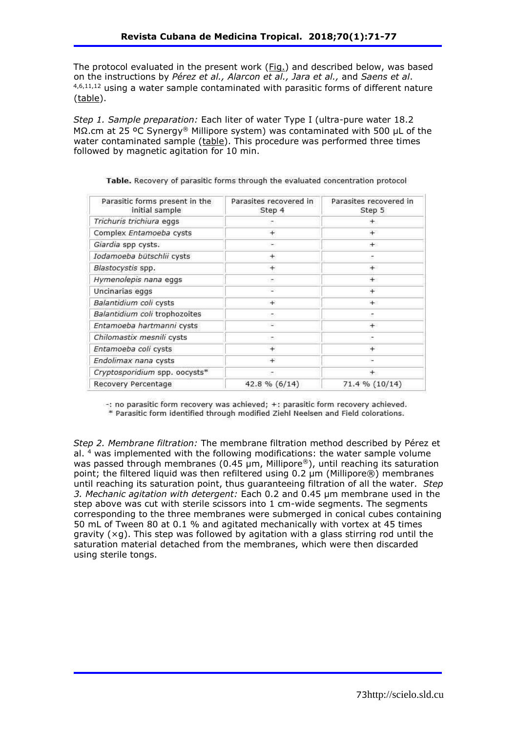The protocol evaluated in the present work (Fig.) and described below, was based on the instructions by *Pérez et al., Alarcon et al., Jara et al.,* and *Saens et al*. 4,6,11,12 using a water sample contaminated with parasitic forms of different nature (table).

*Step 1. Sample preparation:* Each liter of water Type I (ultra-pure water 18.2 MΩ.cm at 25 °C Synergy® Millipore system) was contaminated with 500 μL of the water contaminated sample (table). This procedure was performed three times followed by magnetic agitation for 10 min.

| Parasitic forms present in the<br>initial sample | Parasites recovered in<br>Step 4 | Parasites recovered in<br>Step 5 |
|--------------------------------------------------|----------------------------------|----------------------------------|
| Trichuris trichiura eggs                         |                                  | $+$                              |
| Complex Entamoeba cysts                          | $^{+}$                           | $+$                              |
| Giardia spp cysts.                               | ۰                                | $+$                              |
| Iodamoeba bütschlii cysts                        | $\pm$                            | Æ                                |
| Blastocystis spp.                                | $^{+}$                           | $+$                              |
| Hymenolepis nana eggs                            | ÷                                | $+$                              |
| Uncinarias eggs                                  | ۵                                | $+$                              |
| Balantidium coli cysts                           | $^{+}$                           | $+$                              |
| Balantidium coli trophozoites                    | э                                | E                                |
| Entamoeba hartmanni cysts                        | ÷                                | $^{+}$                           |
| Chilomastix mesnili cysts                        | ÷                                |                                  |
| Entamoeba coli cysts                             | $^{+}$                           | $+$                              |
| Endolimax nana cysts                             | Ŧ                                |                                  |
| Cryptosporidium spp. oocysts*                    |                                  | $\pm$                            |
| Recovery Percentage                              | 42.8 % (6/14)                    | 71.4 % (10/14)                   |

Table. Recovery of parasitic forms through the evaluated concentration protocol

-: no parasitic form recovery was achieved; +: parasitic form recovery achieved.

\* Parasitic form identified through modified Ziehl Neelsen and Field colorations.

*Step 2. Membrane filtration:* The membrane filtration method described by Pérez et al.  $4$  was implemented with the following modifications: the water sample volume was passed through membranes (0.45 µm, Millipore®), until reaching its saturation point; the filtered liquid was then refiltered using 0.2 µm (Millipore®) membranes until reaching its saturation point, thus guaranteeing filtration of all the water. *Step 3. Mechanic agitation with detergent:* Each 0.2 and 0.45 µm membrane used in the step above was cut with sterile scissors into 1 cm-wide segments. The segments corresponding to the three membranes were submerged in conical cubes containing 50 mL of Tween 80 at 0.1 % and agitated mechanically with vortex at 45 times gravity  $(xg)$ . This step was followed by agitation with a glass stirring rod until the saturation material detached from the membranes, which were then discarded using sterile tongs.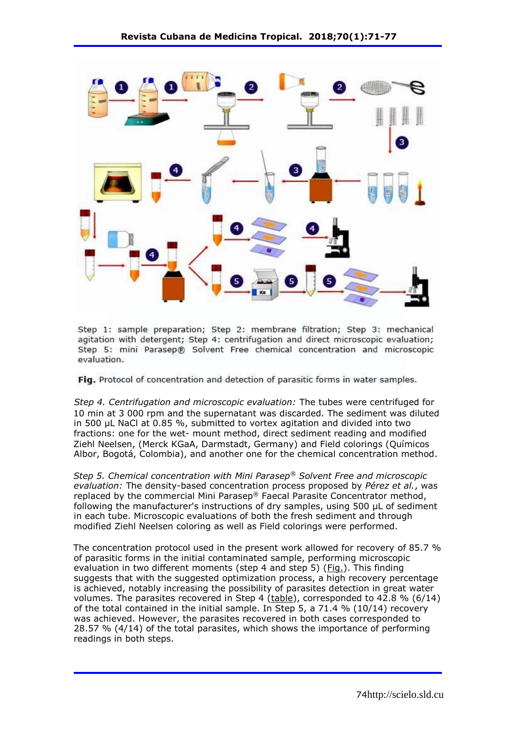

Step 1: sample preparation; Step 2: membrane filtration; Step 3: mechanical agitation with detergent; Step 4: centrifugation and direct microscopic evaluation; Step 5: mini Parasep® Solvent Free chemical concentration and microscopic evaluation.

Fig. Protocol of concentration and detection of parasitic forms in water samples.

*Step 4. Centrifugation and microscopic evaluation:* The tubes were centrifuged for 10 min at 3 000 rpm and the supernatant was discarded. The sediment was diluted in 500 µL NaCl at 0.85 %, submitted to vortex agitation and divided into two fractions: one for the wet- mount method, direct sediment reading and modified Ziehl Neelsen, (Merck KGaA, Darmstadt, Germany) and Field colorings (Químicos Albor, Bogotá, Colombia), and another one for the chemical concentration method.

*Step 5. Chemical concentration with Mini Parasep® Solvent Free and microscopic evaluation:* The density-based concentration process proposed by *Pérez et al.*, was replaced by the commercial Mini Parasep® Faecal Parasite Concentrator method, following the manufacturer's instructions of dry samples, using 500 µL of sediment in each tube. Microscopic evaluations of both the fresh sediment and through modified Ziehl Neelsen coloring as well as Field colorings were performed.

The concentration protocol used in the present work allowed for recovery of 85.7 % of parasitic forms in the initial contaminated sample, performing microscopic evaluation in two different moments (step 4 and step 5) (Fig.). This finding suggests that with the suggested optimization process, a high recovery percentage is achieved, notably increasing the possibility of parasites detection in great water volumes. The parasites recovered in Step 4 (table), corresponded to 42.8 % (6/14) of the total contained in the initial sample. In Step 5, a 71.4 % (10/14) recovery was achieved. However, the parasites recovered in both cases corresponded to 28.57 % (4/14) of the total parasites, which shows the importance of performing readings in both steps.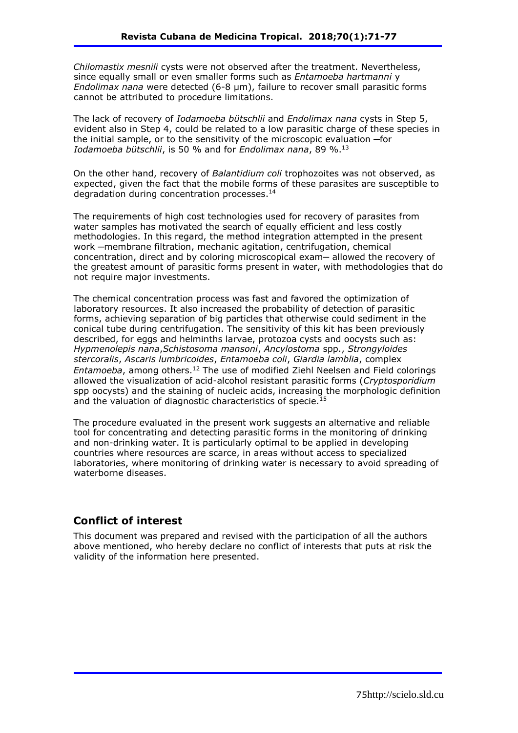*Chilomastix mesnili* cysts were not observed after the treatment. Nevertheless, since equally small or even smaller forms such as *Entamoeba hartmanni* y *Endolimax nana* were detected (6-8 μm), failure to recover small parasitic forms cannot be attributed to procedure limitations.

The lack of recovery of *Iodamoeba bütschlii* and *Endolimax nana* cysts in Step 5, evident also in Step 4, could be related to a low parasitic charge of these species in the initial sample, or to the sensitivity of the microscopic evaluation ─for *Iodamoeba bütschlii*, is 50 % and for *Endolimax nana*, 89 %.<sup>13</sup>

On the other hand, recovery of *Balantidium coli* trophozoites was not observed, as expected, given the fact that the mobile forms of these parasites are susceptible to degradation during concentration processes.<sup>14</sup>

The requirements of high cost technologies used for recovery of parasites from water samples has motivated the search of equally efficient and less costly methodologies. In this regard, the method integration attempted in the present work ─membrane filtration, mechanic agitation, centrifugation, chemical concentration, direct and by coloring microscopical exam— allowed the recovery of the greatest amount of parasitic forms present in water, with methodologies that do not require major investments.

The chemical concentration process was fast and favored the optimization of laboratory resources. It also increased the probability of detection of parasitic forms, achieving separation of big particles that otherwise could sediment in the conical tube during centrifugation. The sensitivity of this kit has been previously described, for eggs and helminths larvae, protozoa cysts and oocysts such as: *Hypmenolepis nana*,*Schistosoma mansoni*, *Ancylostoma* spp., *Strongyloides stercoralis*, *Ascaris lumbricoides*, *Entamoeba coli*, *Giardia lamblia*, complex *Entamoeba*, among others.<sup>12</sup> The use of modified Ziehl Neelsen and Field colorings allowed the visualization of acid-alcohol resistant parasitic forms (*Cryptosporidium* spp oocysts) and the staining of nucleic acids, increasing the morphologic definition and the valuation of diagnostic characteristics of specie.<sup>15</sup>

The procedure evaluated in the present work suggests an alternative and reliable tool for concentrating and detecting parasitic forms in the monitoring of drinking and non-drinking water. It is particularly optimal to be applied in developing countries where resources are scarce, in areas without access to specialized laboratories, where monitoring of drinking water is necessary to avoid spreading of waterborne diseases.

## **Conflict of interest**

This document was prepared and revised with the participation of all the authors above mentioned, who hereby declare no conflict of interests that puts at risk the validity of the information here presented.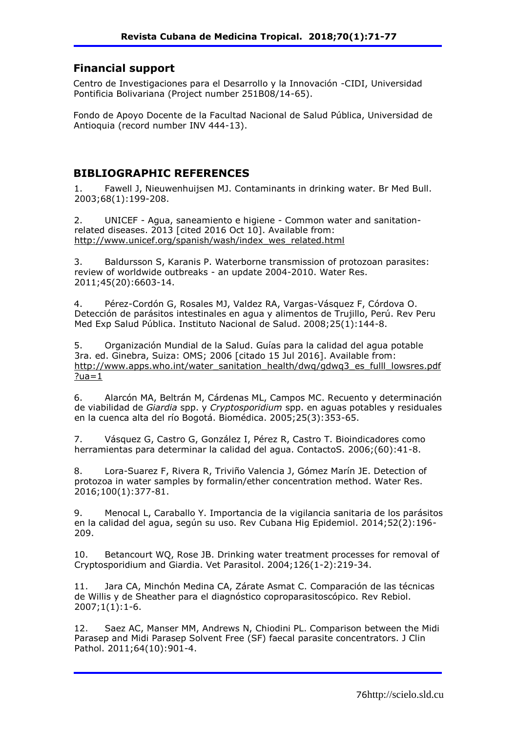### **Financial support**

Centro de Investigaciones para el Desarrollo y la Innovación -CIDI, Universidad Pontificia Bolivariana (Project number 251B08/14-65).

Fondo de Apoyo Docente de la Facultad Nacional de Salud Pública, Universidad de Antioquia (record number INV 444-13).

# **BIBLIOGRAPHIC REFERENCES**

1. Fawell J, Nieuwenhuijsen MJ. Contaminants in drinking water. Br Med Bull. 2003;68(1):199-208.

2. UNICEF - Agua, saneamiento e higiene - Common water and sanitationrelated diseases. 2013 [cited 2016 Oct 10]. Available from: http://www.unicef.org/spanish/wash/index\_wes\_related.html

3. Baldursson S, Karanis P. Waterborne transmission of protozoan parasites: review of worldwide outbreaks - an update 2004-2010. Water Res. 2011;45(20):6603-14.

4. Pérez-Cordón G, Rosales MJ, Valdez RA, Vargas-Vásquez F, Córdova O. Detección de parásitos intestinales en agua y alimentos de Trujillo, Perú. Rev Peru Med Exp Salud Pública. Instituto Nacional de Salud. 2008;25(1):144-8.

5. Organización Mundial de la Salud. Guías para la calidad del agua potable 3ra. ed. Ginebra, Suiza: OMS; 2006 [citado 15 Jul 2016]. Available from: http://www.apps.who.int/water\_sanitation\_health/dwq/gdwq3\_es\_fulll\_lowsres.pdf  $?ua=1$ 

6. Alarcón MA, Beltrán M, Cárdenas ML, Campos MC. Recuento y determinación de viabilidad de *Giardia* spp. y *Cryptosporidium* spp. en aguas potables y residuales en la cuenca alta del río Bogotá. Biomédica. 2005;25(3):353-65.

7. Vásquez G, Castro G, González I, Pérez R, Castro T. Bioindicadores como herramientas para determinar la calidad del agua. ContactoS. 2006;(60):41-8.

8. Lora-Suarez F, Rivera R, Triviño Valencia J, Gómez Marín JE. Detection of protozoa in water samples by formalin/ether concentration method. Water Res. 2016;100(1):377-81.

9. Menocal L, Caraballo Y. Importancia de la vigilancia sanitaria de los parásitos en la calidad del agua, según su uso. Rev Cubana Hig Epidemiol. 2014;52(2):196- 209.

10. Betancourt WQ, Rose JB. Drinking water treatment processes for removal of Cryptosporidium and Giardia. Vet Parasitol. 2004;126(1-2):219-34.

11. Jara CA, Minchón Medina CA, Zárate Asmat C. Comparación de las técnicas de Willis y de Sheather para el diagnóstico coproparasitoscópico. Rev Rebiol. 2007;1(1):1-6.

12. Saez AC, Manser MM, Andrews N, Chiodini PL. Comparison between the Midi Parasep and Midi Parasep Solvent Free (SF) faecal parasite concentrators. J Clin Pathol. 2011;64(10):901-4.